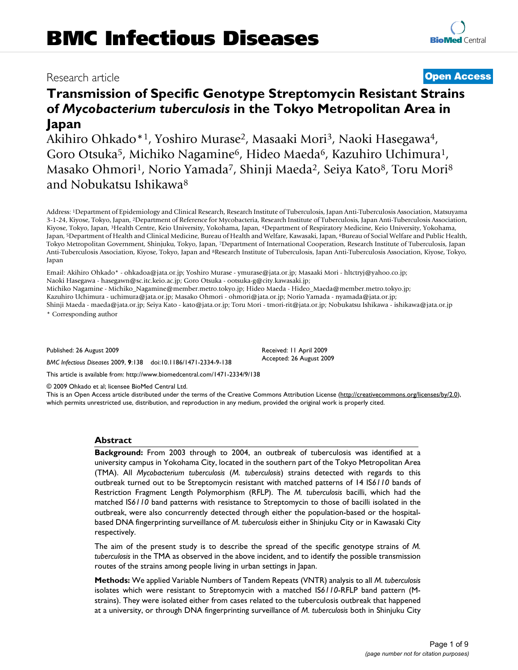# Research article **[Open Access](http://www.biomedcentral.com/info/about/charter/)**

# **Transmission of Specific Genotype Streptomycin Resistant Strains of** *Mycobacterium tuberculosis* **in the Tokyo Metropolitan Area in Japan**

Akihiro Ohkado\*1, Yoshiro Murase2, Masaaki Mori3, Naoki Hasegawa4, Goro Otsuka<sup>5</sup>, Michiko Nagamine<sup>6</sup>, Hideo Maeda<sup>6</sup>, Kazuhiro Uchimura<sup>1</sup>, Masako Ohmori<sup>1</sup>, Norio Yamada<sup>7</sup>, Shinji Maeda<sup>2</sup>, Seiya Kato<sup>8</sup>, Toru Mori<sup>8</sup> and Nobukatsu Ishikawa8

Address: 1Department of Epidemiology and Clinical Research, Research Institute of Tuberculosis, Japan Anti-Tuberculosis Association, Matsuyama 3-1-24, Kiyose, Tokyo, Japan, 2Department of Reference for Mycobacteria, Research Institute of Tuberculosis, Japan Anti-Tuberculosis Association, Kiyose, Tokyo, Japan, 3Health Centre, Keio University, Yokohama, Japan, 4Department of Respiratory Medicine, Keio University, Yokohama, Japan, 5Department of Health and Clinical Medicine, Bureau of Health and Welfare, Kawasaki, Japan, 6Bureau of Social Welfare and Public Health, Tokyo Metropolitan Government, Shinjuku, Tokyo, Japan, 7Department of International Cooperation, Research Institute of Tuberculosis, Japan Anti-Tuberculosis Association, Kiyose, Tokyo, Japan and 8Research Institute of Tuberculosis, Japan Anti-Tuberculosis Association, Kiyose, Tokyo, Japan

Email: Akihiro Ohkado\* - ohkadoa@jata.or.jp; Yoshiro Murase - ymurase@jata.or.jp; Masaaki Mori - hltctryj@yahoo.co.jp; Naoki Hasegawa - hasegawn@sc.itc.keio.ac.jp; Goro Otsuka - ootsuka-g@city.kawasaki.jp; Michiko Nagamine - Michiko\_Nagamine@member.metro.tokyo.jp; Hideo Maeda - Hideo\_Maeda@member.metro.tokyo.jp; Kazuhiro Uchimura - uchimura@jata.or.jp; Masako Ohmori - ohmori@jata.or.jp; Norio Yamada - nyamada@jata.or.jp; Shinji Maeda - maeda@jata.or.jp; Seiya Kato - kato@jata.or.jp; Toru Mori - tmori-rit@jata.or.jp; Nobukatsu Ishikawa - ishikawa@jata.or.jp

\* Corresponding author

Published: 26 August 2009

Received: 11 April 2009 Accepted: 26 August 2009

[This article is available from: http://www.biomedcentral.com/1471-2334/9/138](http://www.biomedcentral.com/1471-2334/9/138)

*BMC Infectious Diseases* 2009, **9**:138 doi:10.1186/1471-2334-9-138

© 2009 Ohkado et al; licensee BioMed Central Ltd.

This is an Open Access article distributed under the terms of the Creative Commons Attribution License [\(http://creativecommons.org/licenses/by/2.0\)](http://creativecommons.org/licenses/by/2.0), which permits unrestricted use, distribution, and reproduction in any medium, provided the original work is properly cited.

#### **Abstract**

**Background:** From 2003 through to 2004, an outbreak of tuberculosis was identified at a university campus in Yokohama City, located in the southern part of the Tokyo Metropolitan Area (TMA). All *Mycobacterium tuberculosis* (*M. tuberculosis*) strains detected with regards to this outbreak turned out to be Streptomycin resistant with matched patterns of 14 IS*6110* bands of Restriction Fragment Length Polymorphism (RFLP). The *M. tuberculosis* bacilli, which had the matched IS*6110* band patterns with resistance to Streptomycin to those of bacilli isolated in the outbreak, were also concurrently detected through either the population-based or the hospitalbased DNA fingerprinting surveillance of *M. tuberculosis* either in Shinjuku City or in Kawasaki City respectively.

The aim of the present study is to describe the spread of the specific genotype strains of *M. tuberculosis* in the TMA as observed in the above incident, and to identify the possible transmission routes of the strains among people living in urban settings in Japan.

**Methods:** We applied Variable Numbers of Tandem Repeats (VNTR) analysis to all *M. tuberculosis* isolates which were resistant to Streptomycin with a matched IS*6110*-RFLP band pattern (Mstrains). They were isolated either from cases related to the tuberculosis outbreak that happened at a university, or through DNA fingerprinting surveillance of *M. tuberculosis* both in Shinjuku City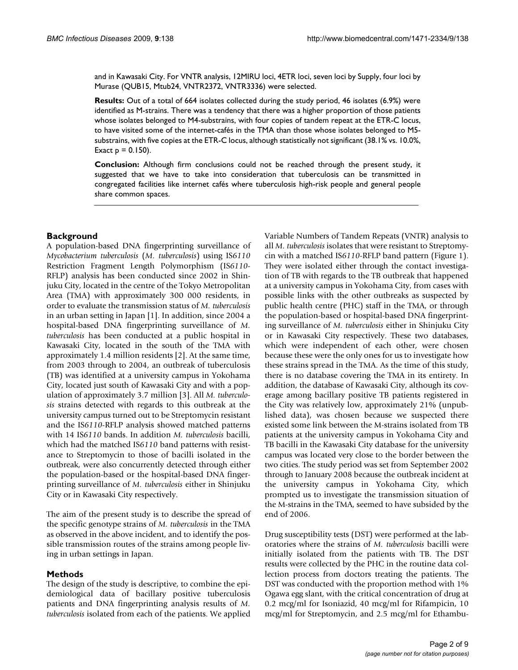and in Kawasaki City. For VNTR analysis, 12MIRU loci, 4ETR loci, seven loci by Supply, four loci by Murase (QUB15, Mtub24, VNTR2372, VNTR3336) were selected.

**Results:** Out of a total of 664 isolates collected during the study period, 46 isolates (6.9%) were identified as M-strains. There was a tendency that there was a higher proportion of those patients whose isolates belonged to M4-substrains, with four copies of tandem repeat at the ETR-C locus, to have visited some of the internet-cafés in the TMA than those whose isolates belonged to M5 substrains, with five copies at the ETR-C locus, although statistically not significant (38.1% vs. 10.0%, Exact  $p = 0.150$ ).

**Conclusion:** Although firm conclusions could not be reached through the present study, it suggested that we have to take into consideration that tuberculosis can be transmitted in congregated facilities like internet cafés where tuberculosis high-risk people and general people share common spaces.

# **Background**

A population-based DNA fingerprinting surveillance of *Mycobacterium tuberculosis* (*M. tuberculosis*) using IS*6110* Restriction Fragment Length Polymorphism (IS*6110*- RFLP) analysis has been conducted since 2002 in Shinjuku City, located in the centre of the Tokyo Metropolitan Area (TMA) with approximately 300 000 residents, in order to evaluate the transmission status of *M. tuberculosis* in an urban setting in Japan [[1\]](#page-7-0). In addition, since 2004 a hospital-based DNA fingerprinting surveillance of *M. tuberculosis* has been conducted at a public hospital in Kawasaki City, located in the south of the TMA with approximately 1.4 million residents [\[2\]](#page-7-1). At the same time, from 2003 through to 2004, an outbreak of tuberculosis (TB) was identified at a university campus in Yokohama City, located just south of Kawasaki City and with a population of approximately 3.7 million [\[3\]](#page-7-2). All *M. tuberculosis* strains detected with regards to this outbreak at the university campus turned out to be Streptomycin resistant and the IS*6110*-RFLP analysis showed matched patterns with 14 IS*6110* bands. In addition *M. tuberculosis* bacilli, which had the matched IS*6110* band patterns with resistance to Streptomycin to those of bacilli isolated in the outbreak, were also concurrently detected through either the population-based or the hospital-based DNA fingerprinting surveillance of *M. tuberculosis* either in Shinjuku City or in Kawasaki City respectively.

The aim of the present study is to describe the spread of the specific genotype strains of *M. tuberculosis* in the TMA as observed in the above incident, and to identify the possible transmission routes of the strains among people living in urban settings in Japan.

#### **Methods**

The design of the study is descriptive, to combine the epidemiological data of bacillary positive tuberculosis patients and DNA fingerprinting analysis results of *M. tuberculosis* isolated from each of the patients. We applied Variable Numbers of Tandem Repeats (VNTR) analysis to all *M. tuberculosis* isolates that were resistant to Streptomycin with a matched IS*6110*-RFLP band pattern (Figure [1\)](#page-2-0). They were isolated either through the contact investigation of TB with regards to the TB outbreak that happened at a university campus in Yokohama City, from cases with possible links with the other outbreaks as suspected by public health centre (PHC) staff in the TMA, or through the population-based or hospital-based DNA fingerprinting surveillance of *M. tuberculosis* either in Shinjuku City or in Kawasaki City respectively. These two databases, which were independent of each other, were chosen because these were the only ones for us to investigate how these strains spread in the TMA. As the time of this study, there is no database covering the TMA in its entirety. In addition, the database of Kawasaki City, although its coverage among bacillary positive TB patients registered in the City was relatively low, approximately 21% (unpublished data), was chosen because we suspected there existed some link between the M-strains isolated from TB patients at the university campus in Yokohama City and TB bacilli in the Kawasaki City database for the university campus was located very close to the border between the two cities. The study period was set from September 2002 through to January 2008 because the outbreak incident at the university campus in Yokohama City, which prompted us to investigate the transmission situation of the M-strains in the TMA, seemed to have subsided by the end of 2006.

Drug susceptibility tests (DST) were performed at the laboratories where the strains of *M. tuberculosis* bacilli were initially isolated from the patients with TB. The DST results were collected by the PHC in the routine data collection process from doctors treating the patients. The DST was conducted with the proportion method with 1% Ogawa egg slant, with the critical concentration of drug at 0.2 mcg/ml for Isoniazid, 40 mcg/ml for Rifampicin, 10 mcg/ml for Streptomycin, and 2.5 mcg/ml for Ethambu-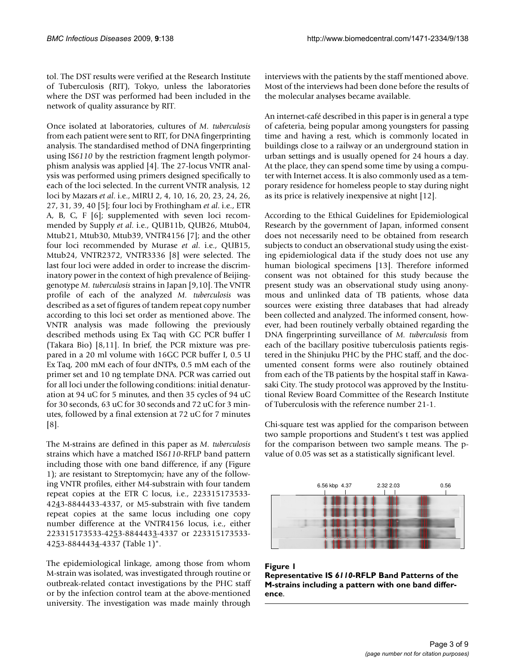tol. The DST results were verified at the Research Institute of Tuberculosis (RIT), Tokyo, unless the laboratories where the DST was performed had been included in the network of quality assurance by RIT.

Once isolated at laboratories, cultures of *M. tuberculosis* from each patient were sent to RIT, for DNA fingerprinting analysis. The standardised method of DNA fingerprinting using IS*6110* by the restriction fragment length polymorphism analysis was applied [[4](#page-7-3)]. The 27-locus VNTR analysis was performed using primers designed specifically to each of the loci selected. In the current VNTR analysis, 12 loci by Mazars *et al*. i.e., MIRU 2, 4, 10, 16, 20, 23, 24, 26, 27, 31, 39, 40 [[5](#page-7-4)]; four loci by Frothingham *et al*. i.e., ETR A, B, C, F [[6](#page-7-5)]; supplemented with seven loci recommended by Supply *et al*. i.e., QUB11b, QUB26, Mtub04, Mtub21, Mtub30, Mtub39, VNTR4156 [[7](#page-7-6)]; and the other four loci recommended by Murase *et al*. i.e., QUB15, Mtub24, VNTR2372, VNTR3336 [\[8\]](#page-8-0) were selected. The last four loci were added in order to increase the discriminatory power in the context of high prevalence of Beijinggenotype *M. tuberculosis* strains in Japan [[9](#page-8-1),[10](#page-8-2)]. The VNTR profile of each of the analyzed *M. tuberculosis* was described as a set of figures of tandem repeat copy number according to this loci set order as mentioned above. The VNTR analysis was made following the previously described methods using Ex Taq with GC PCR buffer I (Takara Bio) [\[8](#page-8-0)[,11](#page-8-3)]. In brief, the PCR mixture was prepared in a 20 ml volume with 16GC PCR buffer I, 0.5 U Ex Taq, 200 mM each of four dNTPs, 0.5 mM each of the primer set and 10 ng template DNA. PCR was carried out for all loci under the following conditions: initial denaturation at 94 uC for 5 minutes, and then 35 cycles of 94 uC for 30 seconds, 63 uC for 30 seconds and 72 uC for 3 minutes, followed by a final extension at 72 uC for 7 minutes [[8\]](#page-8-0).

The M-strains are defined in this paper as *M. tuberculosis* strains which have a matched IS*6110*-RFLP band pattern including those with one band difference, if any (Figure [1\)](#page-2-0); are resistant to Streptomycin; have any of the following VNTR profiles, either M4-substrain with four tandem repeat copies at the ETR C locus, i.e., 223315173533- 4243-8844433-4337, or M5-substrain with five tandem repeat copies at the same locus including one copy number difference at the VNTR4156 locus, i.e., either 223315173533-4253-8844433-4337 or 223315173533- 4253-8844434-4337 (Table [1\)](#page-3-0)".

The epidemiological linkage, among those from whom M-strain was isolated, was investigated through routine or outbreak-related contact investigations by the PHC staff or by the infection control team at the above-mentioned university. The investigation was made mainly through

interviews with the patients by the staff mentioned above. Most of the interviews had been done before the results of the molecular analyses became available.

An internet-café described in this paper is in general a type of cafeteria, being popular among youngsters for passing time and having a rest, which is commonly located in buildings close to a railway or an underground station in urban settings and is usually opened for 24 hours a day. At the place, they can spend some time by using a computer with Internet access. It is also commonly used as a temporary residence for homeless people to stay during night as its price is relatively inexpensive at night [[12](#page-8-4)].

According to the Ethical Guidelines for Epidemiological Research by the government of Japan, informed consent does not necessarily need to be obtained from research subjects to conduct an observational study using the existing epidemiological data if the study does not use any human biological specimens [[13](#page-8-5)]. Therefore informed consent was not obtained for this study because the present study was an observational study using anonymous and unlinked data of TB patients, whose data sources were existing three databases that had already been collected and analyzed. The informed consent, however, had been routinely verbally obtained regarding the DNA fingerprinting surveillance of *M. tuberculosis* from each of the bacillary positive tuberculosis patients registered in the Shinjuku PHC by the PHC staff, and the documented consent forms were also routinely obtained from each of the TB patients by the hospital staff in Kawasaki City. The study protocol was approved by the Institutional Review Board Committee of the Research Institute of Tuberculosis with the reference number 21-1.

Chi-square test was applied for the comparison between two sample proportions and Student's t test was applied for the comparison between two sample means. The pvalue of 0.05 was set as a statistically significant level.

<span id="page-2-0"></span>

Figure **I Representative IS** *6110***-RFLP Band Patterns of the M-strains including a pattern with one band difference**.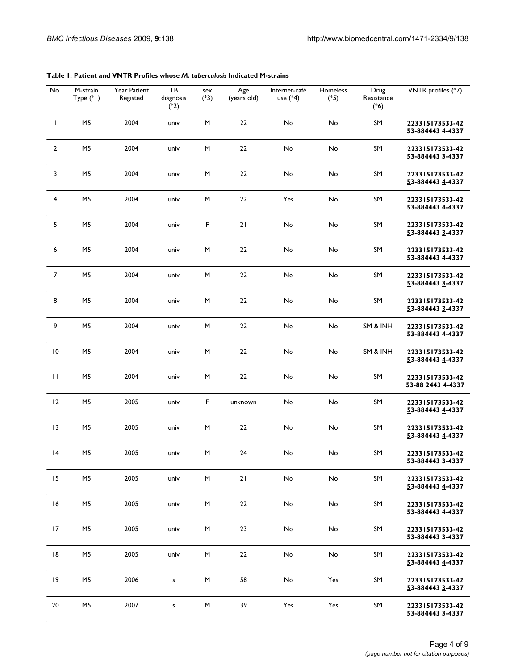| No.                     | M-strain<br>Type $(*1)$ | Year Patient<br>Registed | TB<br>diagnosis<br>$(*2)$ | sex<br>$(*3)$ | Age<br>(years old) | Internet-café<br>use $(*4)$ | Homeless<br>$(*5)$ | Drug<br>Resistance<br>$(*6)$ | VNTR profiles (*7)                   |
|-------------------------|-------------------------|--------------------------|---------------------------|---------------|--------------------|-----------------------------|--------------------|------------------------------|--------------------------------------|
| $\mathbf{I}$            | M <sub>5</sub>          | 2004                     | univ                      | M             | 22                 | No                          | No                 | SM                           | 223315173533-42<br>53-884443 4-4337  |
| $\overline{2}$          | M <sub>5</sub>          | 2004                     | univ                      | $\sf M$       | 22                 | No                          | No                 | SM                           | 223315173533-42<br>53-884443 3-4337  |
| 3                       | M <sub>5</sub>          | 2004                     | univ                      | M             | 22                 | No                          | No                 | SM                           | 223315173533-42<br>53-884443 4-4337  |
| $\overline{\mathbf{4}}$ | M <sub>5</sub>          | 2004                     | univ                      | M             | 22                 | Yes                         | No                 | SM                           | 223315173533-42<br>53-884443 4-4337  |
| 5                       | M <sub>5</sub>          | 2004                     | univ                      | F             | 21                 | No                          | No                 | SM                           | 223315173533-42<br>53-884443 3-4337  |
| 6                       | M <sub>5</sub>          | 2004                     | univ                      | M             | 22                 | No                          | No                 | SM                           | 223315173533-42<br>53-884443 4-4337  |
| $\boldsymbol{7}$        | M <sub>5</sub>          | 2004                     | univ                      | $\sf M$       | 22                 | No                          | No                 | SM                           | 223315173533-42<br>53-884443 3-4337  |
| 8                       | M <sub>5</sub>          | 2004                     | univ                      | M             | 22                 | No                          | No                 | SM                           | 223315173533-42<br>53-884443 3-4337  |
| 9                       | M <sub>5</sub>          | 2004                     | univ                      | $\sf M$       | $22\,$             | No                          | No                 | SM & INH                     | 223315173533-42<br>53-884443 4-4337  |
| $\,$ l $\,$             | M <sub>5</sub>          | 2004                     | univ                      | M             | 22                 | No                          | No                 | SM & INH                     | 223315173533-42<br>53-884443 4-4337  |
| П                       | M <sub>5</sub>          | 2004                     | univ                      | $\sf M$       | 22                 | No                          | No                 | SM                           | 223315173533-42<br>53-88 2443 4-4337 |
| 12                      | M <sub>5</sub>          | 2005                     | univ                      | F             | unknown            | No                          | No                 | SM                           | 223315173533-42<br>53-884443 4-4337  |
| 13                      | M <sub>5</sub>          | 2005                     | univ                      | $\sf M$       | 22                 | No                          | No                 | SM                           | 223315173533-42<br>53-884443 4-4337  |
| 4                       | M <sub>5</sub>          | 2005                     | univ                      | $\sf M$       | 24                 | No                          | No                 | SM                           | 223315173533-42<br>53-884443 3-4337  |
| 15                      | M <sub>5</sub>          | 2005                     | univ                      | M             | 21                 | No                          | No                 | SM                           | 223315173533-42<br>53-884443 4-4337  |
| 16                      | M <sub>5</sub>          | 2005                     | univ                      | M             | 22                 | No                          | No                 | SM                           | 223315173533-42<br>53-884443 4-4337  |
| 17                      | M <sub>5</sub>          | 2005                     | univ                      | $\sf M$       | 23                 | No                          | No                 | SM                           | 223315173533-42<br>53-884443 3-4337  |
| 18                      | M <sub>5</sub>          | 2005                     | univ                      | M             | $22\,$             | No                          | No                 | SM                           | 223315173533-42<br>53-884443 4-4337  |
| 9                       | M <sub>5</sub>          | 2006                     | s                         | $\sf M$       | 58                 | No                          | Yes                | SM                           | 223315173533-42<br>53-884443 3-4337  |
| 20                      | M <sub>5</sub>          | 2007                     | s                         | $\sf M$       | 39                 | Yes                         | Yes                | SM                           | 223315173533-42<br>53-884443 3-4337  |

# <span id="page-3-0"></span>**Table 1: Patient and VNTR Profiles whose** *M. tuberculosis* **Indicated M-strains**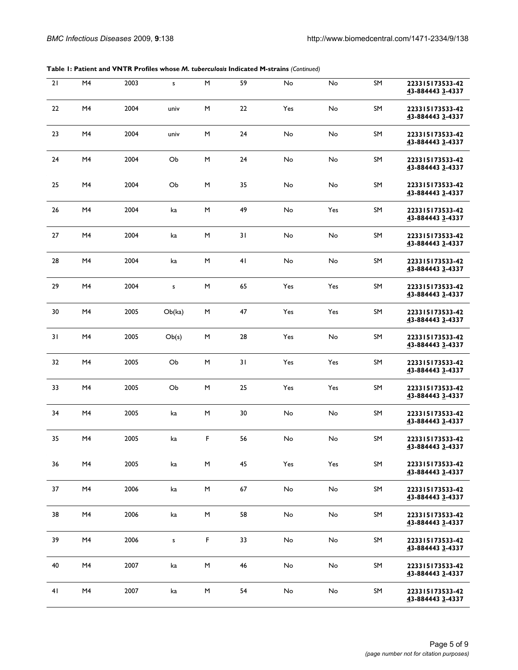| Table 1: Patient and VNTR Profiles whose M. tuberculosis Indicated M-strains (Continued) |  |  |
|------------------------------------------------------------------------------------------|--|--|
|------------------------------------------------------------------------------------------|--|--|

| 21 | M4 | 2003 | s       | M       | 59 | No  | No  | SM | 223315173533-42<br>43-884443 3-4337 |
|----|----|------|---------|---------|----|-----|-----|----|-------------------------------------|
| 22 | M4 | 2004 | univ    | M       | 22 | Yes | No  | SM | 223315173533-42<br>43-884443 3-4337 |
| 23 | M4 | 2004 | univ    | M       | 24 | No  | No  | SM | 223315173533-42<br>43-884443 3-4337 |
| 24 | M4 | 2004 | Ob      | $\sf M$ | 24 | No  | No  | SM | 223315173533-42<br>43-884443 3-4337 |
| 25 | M4 | 2004 | Ob      | M       | 35 | No  | No  | SM | 223315173533-42<br>43-884443 3-4337 |
| 26 | M4 | 2004 | ka      | $\sf M$ | 49 | No  | Yes | SM | 223315173533-42<br>43-884443 3-4337 |
| 27 | M4 | 2004 | ka      | M       | 31 | No  | No  | SM | 223315173533-42<br>43-884443 3-4337 |
| 28 | M4 | 2004 | ka      | M       | 41 | No  | No  | SM | 223315173533-42<br>43-884443 3-4337 |
| 29 | M4 | 2004 | s       | M       | 65 | Yes | Yes | SM | 223315173533-42<br>43-884443 3-4337 |
| 30 | M4 | 2005 | Ob(ka)  | $\sf M$ | 47 | Yes | Yes | SM | 223315173533-42<br>43-884443 3-4337 |
| 31 | M4 | 2005 | Ob(s)   | $\sf M$ | 28 | Yes | No  | SM | 223315173533-42<br>43-884443 3-4337 |
| 32 | M4 | 2005 | Ob      | M       | 31 | Yes | Yes | SM | 223315173533-42<br>43-884443 3-4337 |
| 33 | M4 | 2005 | Ob      | M       | 25 | Yes | Yes | SM | 223315173533-42<br>43-884443 3-4337 |
| 34 | M4 | 2005 | ka      | M       | 30 | No  | No  | SM | 223315173533-42<br>43-884443 3-4337 |
| 35 | M4 | 2005 | ka      | F       | 56 | No  | No  | SM | 223315173533-42<br>43-884443 3-4337 |
| 36 | M4 | 2005 | ka      | M       | 45 | Yes | Yes | SM | 223315173533-42<br>43-884443 3-4337 |
| 37 | M4 | 2006 | ka      | $\sf M$ | 67 | No  | No  | SM | 223315173533-42<br>43-884443 3-4337 |
| 38 | M4 | 2006 | ka      | $\sf M$ | 58 | No  | No  | SM | 223315173533-42<br>43-884443 3-4337 |
| 39 | M4 | 2006 | $\sf s$ | F       | 33 | No  | No  | SM | 223315173533-42<br>43-884443 3-4337 |
| 40 | M4 | 2007 | ka      | $\sf M$ | 46 | No  | No  | SM | 223315173533-42<br>43-884443 3-4337 |
| 41 | M4 | 2007 | ka      | $\sf M$ | 54 | No  | No  | SM | 223315173533-42<br>43-884443 3-4337 |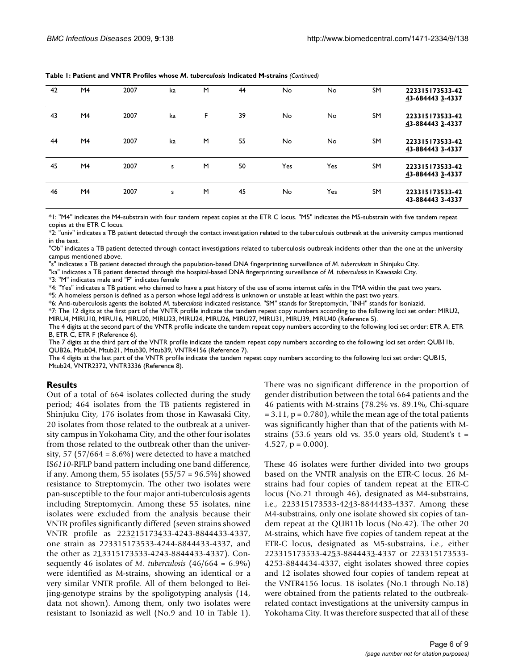| 42 | M4 | 2007 | ka | M | 44 | No  | No  | <b>SM</b> | 223315173533-42<br>43-684443 3-4337 |
|----|----|------|----|---|----|-----|-----|-----------|-------------------------------------|
| 43 | M4 | 2007 | ka | F | 39 | No  | No  | <b>SM</b> | 223315173533-42<br>43-884443 3-4337 |
| 44 | M4 | 2007 | ka | M | 55 | No  | No  | <b>SM</b> | 223315173533-42<br>43-884443 3-4337 |
| 45 | M4 | 2007 | s  | M | 50 | Yes | Yes | <b>SM</b> | 223315173533-42<br>43-884443 3-4337 |
| 46 | M4 | 2007 | S  | M | 45 | No  | Yes | <b>SM</b> | 223315173533-42<br>43-884443 3-4337 |

| Table 1: Patient and VNTR Profiles whose M. tuberculosis Indicated M-strains (Continued) |  |
|------------------------------------------------------------------------------------------|--|
|------------------------------------------------------------------------------------------|--|

\*1: "M4" indicates the M4-substrain with four tandem repeat copies at the ETR C locus. "M5" indicates the M5-substrain with five tandem repeat copies at the ETR C locus.

 $*2$ : "univ" indicates a TB patient detected through the contact investigation related to the tuberculosis outbreak at the university campus mentioned in the text.

"Ob" indicates a TB patient detected through contact investigations related to tuberculosis outbreak incidents other than the one at the university campus mentioned above.

"s" indicates a TB patient detected through the population-based DNA fingerprinting surveillance of *M. tuberculosis* in Shinjuku City.

"ka" indicates a TB patient detected through the hospital-based DNA fingerprinting surveillance of *M. tuberculosis* in Kawasaki City.

\*3: "M" indicates male and "F" indicates female

\*4: "Yes" indicates a TB patient who claimed to have a past history of the use of some internet cafés in the TMA within the past two years.

\*5: A homeless person is defined as a person whose legal address is unknown or unstable at least within the past two years.

\*6: Anti-tuberculosis agents the isolated *M. tuberculosis* indicated resistance. "SM" stands for Streptomycin, "INH" stands for Isoniazid.

\*7: The 12 digits at the first part of the VNTR profile indicate the tandem repeat copy numbers according to the following loci set order: MIRU2, MIRU4, MIRU10, MIRU16, MIRU20, MIRU23, MIRU24, MIRU26, MIRU27, MIRU31, MIRU39, MIRU40 (Reference 5).

The 4 digits at the second part of the VNTR profile indicate the tandem repeat copy numbers according to the following loci set order: ETR A, ETR B, ETR C, ETR F (Reference 6).

The 7 digits at the third part of the VNTR profile indicate the tandem repeat copy numbers according to the following loci set order: QUB11b, QUB26, Mtub04, Mtub21, Mtub30, Mtub39, VNTR4156 (Reference 7).

The 4 digits at the last part of the VNTR profile indicate the tandem repeat copy numbers according to the following loci set order: QUB15, Mtub24, VNTR2372, VNTR3336 (Reference 8).

#### **Results**

Out of a total of 664 isolates collected during the study period; 464 isolates from the TB patients registered in Shinjuku City, 176 isolates from those in Kawasaki City, 20 isolates from those related to the outbreak at a university campus in Yokohama City, and the other four isolates from those related to the outbreak other than the university, 57 (57/664 =  $8.6\%$ ) were detected to have a matched IS*6110*-RFLP band pattern including one band difference, if any. Among them, 55 isolates  $(55/57 = 96.5\%)$  showed resistance to Streptomycin. The other two isolates were pan-susceptible to the four major anti-tuberculosis agents including Streptomycin. Among these 55 isolates, nine isolates were excluded from the analysis because their VNTR profiles significantly differed (seven strains showed VNTR profile as 223215173433-4243-8844433-4337, one strain as 223315173533-4244-8844433-4337, and the other as 213315173533-4243-8844433-4337). Consequently 46 isolates of *M. tuberculosis* (46/664 = 6.9%) were identified as M-strains, showing an identical or a very similar VNTR profile. All of them belonged to Beijing-genotype strains by the spoligotyping analysis ([14,](#page-8-6) data not shown). Among them, only two isolates were resistant to Isoniazid as well (No.9 and 10 in Table [1\)](#page-3-0). There was no significant difference in the proportion of gender distribution between the total 664 patients and the 46 patients with M-strains (78.2% vs. 89.1%, Chi-square  $= 3.11$ ,  $p = 0.780$ , while the mean age of the total patients was significantly higher than that of the patients with Mstrains (53.6 years old vs. 35.0 years old, Student's  $t =$ 4.527,  $p = 0.000$ .

These 46 isolates were further divided into two groups based on the VNTR analysis on the ETR-C locus. 26 Mstrains had four copies of tandem repeat at the ETR-C locus (No.21 through 46), designated as M4-substrains, i.e., 223315173533-4243-8844433-4337. Among these M4-substrains, only one isolate showed six copies of tandem repeat at the QUB11b locus (No.42). The other 20 M-strains, which have five copies of tandem repeat at the ETR-C locus, designated as M5-substrains, i.e., either 223315173533-4253-8844433-4337 or 223315173533- 4253-8844434-4337, eight isolates showed three copies and 12 isolates showed four copies of tandem repeat at the VNTR4156 locus. 18 isolates (No.1 through No.18) were obtained from the patients related to the outbreakrelated contact investigations at the university campus in Yokohama City. It was therefore suspected that all of these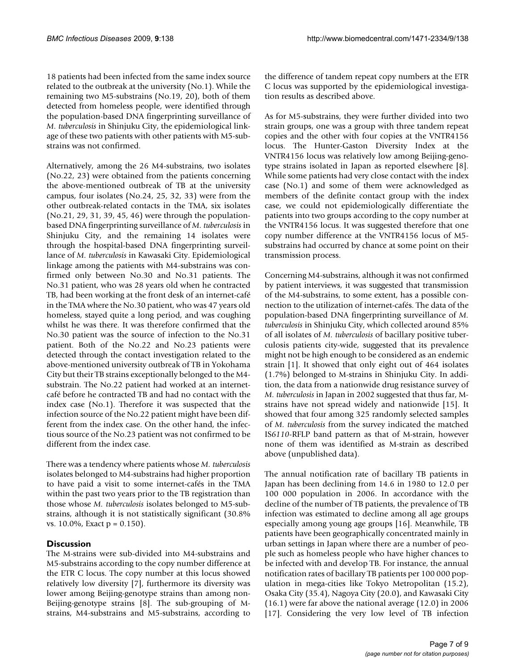18 patients had been infected from the same index source related to the outbreak at the university (No.1). While the remaining two M5-substrains (No.19, 20), both of them detected from homeless people, were identified through the population-based DNA fingerprinting surveillance of *M. tuberculosis* in Shinjuku City, the epidemiological linkage of these two patients with other patients with M5-substrains was not confirmed.

Alternatively, among the 26 M4-substrains, two isolates (No.22, 23) were obtained from the patients concerning the above-mentioned outbreak of TB at the university campus, four isolates (No.24, 25, 32, 33) were from the other outbreak-related contacts in the TMA, six isolates (No.21, 29, 31, 39, 45, 46) were through the populationbased DNA fingerprinting surveillance of *M. tuberculosis* in Shinjuku City, and the remaining 14 isolates were through the hospital-based DNA fingerprinting surveillance of *M. tuberculosis* in Kawasaki City. Epidemiological linkage among the patients with M4-substrains was confirmed only between No.30 and No.31 patients. The No.31 patient, who was 28 years old when he contracted TB, had been working at the front desk of an internet-café in the TMA where the No.30 patient, who was 47 years old homeless, stayed quite a long period, and was coughing whilst he was there. It was therefore confirmed that the No.30 patient was the source of infection to the No.31 patient. Both of the No.22 and No.23 patients were detected through the contact investigation related to the above-mentioned university outbreak of TB in Yokohama City but their TB strains exceptionally belonged to the M4 substrain. The No.22 patient had worked at an internetcafé before he contracted TB and had no contact with the index case (No.1). Therefore it was suspected that the infection source of the No.22 patient might have been different from the index case. On the other hand, the infectious source of the No.23 patient was not confirmed to be different from the index case.

There was a tendency where patients whose *M. tuberculosis* isolates belonged to M4-substrains had higher proportion to have paid a visit to some internet-cafés in the TMA within the past two years prior to the TB registration than those whose *M. tuberculosis* isolates belonged to M5-substrains, although it is not statistically significant (30.8% vs. 10.0%, Exact p = 0.150).

# **Discussion**

The M-strains were sub-divided into M4-substrains and M5-substrains according to the copy number difference at the ETR C locus. The copy number at this locus showed relatively low diversity [[7\]](#page-7-6), furthermore its diversity was lower among Beijing-genotype strains than among non-Beijing-genotype strains [[8](#page-8-0)]. The sub-grouping of Mstrains, M4-substrains and M5-substrains, according to

the difference of tandem repeat copy numbers at the ETR C locus was supported by the epidemiological investigation results as described above.

As for M5-substrains, they were further divided into two strain groups, one was a group with three tandem repeat copies and the other with four copies at the VNTR4156 locus. The Hunter-Gaston Diversity Index at the VNTR4156 locus was relatively low among Beijing-genotype strains isolated in Japan as reported elsewhere [[8](#page-8-0)]. While some patients had very close contact with the index case (No.1) and some of them were acknowledged as members of the definite contact group with the index case, we could not epidemiologically differentiate the patients into two groups according to the copy number at the VNTR4156 locus. It was suggested therefore that one copy number difference at the VNTR4156 locus of M5 substrains had occurred by chance at some point on their transmission process.

Concerning M4-substrains, although it was not confirmed by patient interviews, it was suggested that transmission of the M4-substrains, to some extent, has a possible connection to the utilization of internet-cafés. The data of the population-based DNA fingerprinting surveillance of *M. tuberculosis* in Shinjuku City, which collected around 85% of all isolates of *M. tuberculosis* of bacillary positive tuberculosis patients city-wide, suggested that its prevalence might not be high enough to be considered as an endemic strain [[1](#page-7-0)]. It showed that only eight out of 464 isolates (1.7%) belonged to M-strains in Shinjuku City. In addition, the data from a nationwide drug resistance survey of *M. tuberculosis* in Japan in 2002 suggested that thus far, Mstrains have not spread widely and nationwide [[15\]](#page-8-7). It showed that four among 325 randomly selected samples of *M. tuberculosis* from the survey indicated the matched IS*6110*-RFLP band pattern as that of M-strain, however none of them was identified as M-strain as described above (unpublished data).

The annual notification rate of bacillary TB patients in Japan has been declining from 14.6 in 1980 to 12.0 per 100 000 population in 2006. In accordance with the decline of the number of TB patients, the prevalence of TB infection was estimated to decline among all age groups especially among young age groups [[16](#page-8-8)]. Meanwhile, TB patients have been geographically concentrated mainly in urban settings in Japan where there are a number of people such as homeless people who have higher chances to be infected with and develop TB. For instance, the annual notification rates of bacillary TB patients per 100 000 population in mega-cities like Tokyo Metropolitan (15.2), Osaka City (35.4), Nagoya City (20.0), and Kawasaki City (16.1) were far above the national average (12.0) in 2006 [[17](#page-8-9)]. Considering the very low level of TB infection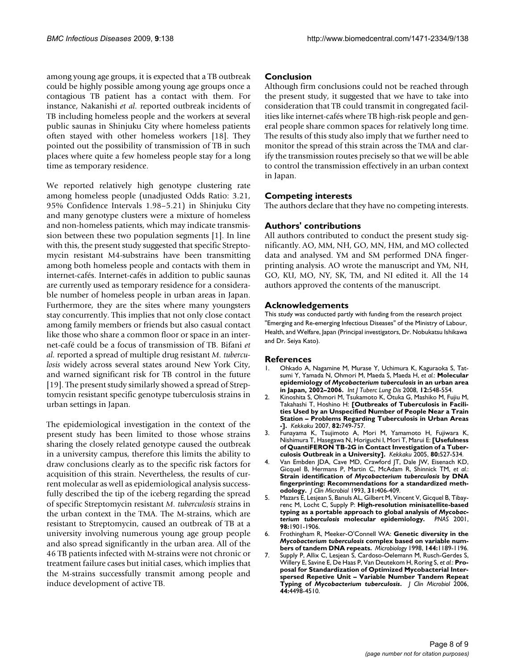among young age groups, it is expected that a TB outbreak could be highly possible among young age groups once a contagious TB patient has a contact with them. For instance, Nakanishi *et al.* reported outbreak incidents of TB including homeless people and the workers at several public saunas in Shinjuku City where homeless patients often stayed with other homeless workers [[18](#page-8-10)]. They pointed out the possibility of transmission of TB in such places where quite a few homeless people stay for a long time as temporary residence.

We reported relatively high genotype clustering rate among homeless people (unadjusted Odds Ratio: 3.21, 95% Confidence Intervals 1.98–5.21) in Shinjuku City and many genotype clusters were a mixture of homeless and non-homeless patients, which may indicate transmission between these two population segments [[1\]](#page-7-0). In line with this, the present study suggested that specific Streptomycin resistant M4-substrains have been transmitting among both homeless people and contacts with them in internet-cafés. Internet-cafés in addition to public saunas are currently used as temporary residence for a considerable number of homeless people in urban areas in Japan. Furthermore, they are the sites where many youngsters stay concurrently. This implies that not only close contact among family members or friends but also casual contact like those who share a common floor or space in an internet-café could be a focus of transmission of TB. Bifani *et al.* reported a spread of multiple drug resistant *M. tuberculosis* widely across several states around New York City, and warned significant risk for TB control in the future [[19](#page-8-11)]. The present study similarly showed a spread of Streptomycin resistant specific genotype tuberculosis strains in urban settings in Japan.

The epidemiological investigation in the context of the present study has been limited to those whose strains sharing the closely related genotype caused the outbreak in a university campus, therefore this limits the ability to draw conclusions clearly as to the specific risk factors for acquisition of this strain. Nevertheless, the results of current molecular as well as epidemiological analysis successfully described the tip of the iceberg regarding the spread of specific Streptomycin resistant *M. tuberculosis* strains in the urban context in the TMA. The M-strains, which are resistant to Streptomycin, caused an outbreak of TB at a university involving numerous young age group people and also spread significantly in the urban area. All of the 46 TB patients infected with M-strains were not chronic or treatment failure cases but initial cases, which implies that the M-strains successfully transmit among people and induce development of active TB.

# **Conclusion**

Although firm conclusions could not be reached through the present study, it suggested that we have to take into consideration that TB could transmit in congregated facilities like internet-cafés where TB high-risk people and general people share common spaces for relatively long time. The results of this study also imply that we further need to monitor the spread of this strain across the TMA and clarify the transmission routes precisely so that we will be able to control the transmission effectively in an urban context in Japan.

# **Competing interests**

The authors declare that they have no competing interests.

# **Authors' contributions**

All authors contributed to conduct the present study significantly. AO, MM, NH, GO, MN, HM, and MO collected data and analysed. YM and SM performed DNA fingerprinting analysis. AO wrote the manuscript and YM, NH, GO, KU, MO, NY, SK, TM, and NI edited it. All the 14 authors approved the contents of the manuscript.

#### **Acknowledgements**

This study was conducted partly with funding from the research project "Emerging and Re-emerging Infectious Diseases" of the Ministry of Labour, Health, and Welfare, Japan (Principal investigators, Dr. Nobukatsu Ishikawa and Dr. Seiya Kato).

#### **References**

- <span id="page-7-0"></span>1. Ohkado A, Nagamine M, Murase Y, Uchimura K, Kaguraoka S, Tatsumi Y, Yamada N, Ohmori M, Maeda S, Maeda H, *et al.*: **Molecular epidemiology of** *Mycobacterium tuberculosis* **[in an urban area](http://www.ncbi.nlm.nih.gov/entrez/query.fcgi?cmd=Retrieve&db=PubMed&dopt=Abstract&list_uids=18419891) [in Japan, 2002–2006.](http://www.ncbi.nlm.nih.gov/entrez/query.fcgi?cmd=Retrieve&db=PubMed&dopt=Abstract&list_uids=18419891)** *Int J Tuberc Lung Dis* 2008, **12:**548-554.
- <span id="page-7-1"></span>2. Kinoshita S, Ohmori M, Tsukamoto K, Otuka G, Mashiko M, Fujiu M, Takahashi T, Hoshino H: **[\[Outbreaks of Tuberculosis in Facili](http://www.ncbi.nlm.nih.gov/entrez/query.fcgi?cmd=Retrieve&db=PubMed&dopt=Abstract&list_uids=18018599)[ties Used by an Unspecified Number of People Near a Train](http://www.ncbi.nlm.nih.gov/entrez/query.fcgi?cmd=Retrieve&db=PubMed&dopt=Abstract&list_uids=18018599) Station – Problems Regarding Tuberculosis in Urban Areas [-\].](http://www.ncbi.nlm.nih.gov/entrez/query.fcgi?cmd=Retrieve&db=PubMed&dopt=Abstract&list_uids=18018599)** *Kekkaku* 2007, **82:**749-757.
- <span id="page-7-2"></span>3. Funayama K, Tsujimoto A, Mori M, Yamamoto H, Fujiwara K, Nishimura T, Hasegawa N, Horiguchi I, Mori T, Marui E: **[\[Usefulness](http://www.ncbi.nlm.nih.gov/entrez/query.fcgi?cmd=Retrieve&db=PubMed&dopt=Abstract&list_uids=16167779) [of QuantiFERON TB-2G in Contact Investigation of a Tuber](http://www.ncbi.nlm.nih.gov/entrez/query.fcgi?cmd=Retrieve&db=PubMed&dopt=Abstract&list_uids=16167779)[culosis Outbreak in a University\].](http://www.ncbi.nlm.nih.gov/entrez/query.fcgi?cmd=Retrieve&db=PubMed&dopt=Abstract&list_uids=16167779)** *Kekkaku* 2005, **80:**527-534.
- <span id="page-7-3"></span>4. Van Embden JDA, Cave MD, Crawford JT, Dale JW, Eisenach KD, Gicquel B, Hermans P, Martin C, McAdam R, Shinnick TM, *et al.*: **Strain identification of** *Mycobacterium tuberculosis* **[by DNA](http://www.ncbi.nlm.nih.gov/entrez/query.fcgi?cmd=Retrieve&db=PubMed&dopt=Abstract&list_uids=8381814) [fingerprinting: Recommendations for a standardized meth](http://www.ncbi.nlm.nih.gov/entrez/query.fcgi?cmd=Retrieve&db=PubMed&dopt=Abstract&list_uids=8381814)[odology.](http://www.ncbi.nlm.nih.gov/entrez/query.fcgi?cmd=Retrieve&db=PubMed&dopt=Abstract&list_uids=8381814)** *J Clin Microbiol* 1993, **31:**406-409.
- <span id="page-7-4"></span>5. Mazars E, Lesjean S, Banuls AL, Gilbert M, Vincent V, Gicquel B, Tibayrenc M, Locht C, Supply P: **High-resolution minisatellite-based typing as a portable approach to global analysis of** *Mycobac* $terium$  *tuberculosis* [molecular epidemiology.](http://www.ncbi.nlm.nih.gov/entrez/query.fcgi?cmd=Retrieve&db=PubMed&dopt=Abstract&list_uids=11172048) **98:**1901-1906.
- <span id="page-7-5"></span>6. Frothingham R, Meeker-O'Connell WA: **Genetic diversity in the** *Mycobacterium tuberculosis* **[complex based on variable num](http://www.ncbi.nlm.nih.gov/entrez/query.fcgi?cmd=Retrieve&db=PubMed&dopt=Abstract&list_uids=9611793)[bers of tandem DNA repeats.](http://www.ncbi.nlm.nih.gov/entrez/query.fcgi?cmd=Retrieve&db=PubMed&dopt=Abstract&list_uids=9611793)** *Microbiology* 1998, **144:**1189-1196.
- <span id="page-7-6"></span>7. Supply P, Allix C, Lesjean S, Cardoso-Oelemann M, Rusch-Gerdes S, Willery E, Savine E, De Haas P, Van Deutekom H, Roring S, *et al.*: **Proposal for Standardization of Optimized Mycobacterial Interspersed Repetive Unit – Variable Number Tandem Repeat Typing of** *Mycobacterium tuberculosis***[.](http://www.ncbi.nlm.nih.gov/entrez/query.fcgi?cmd=Retrieve&db=PubMed&dopt=Abstract&list_uids=17005759)** *J Clin Microbiol* 2006, **44:**4498-4510.